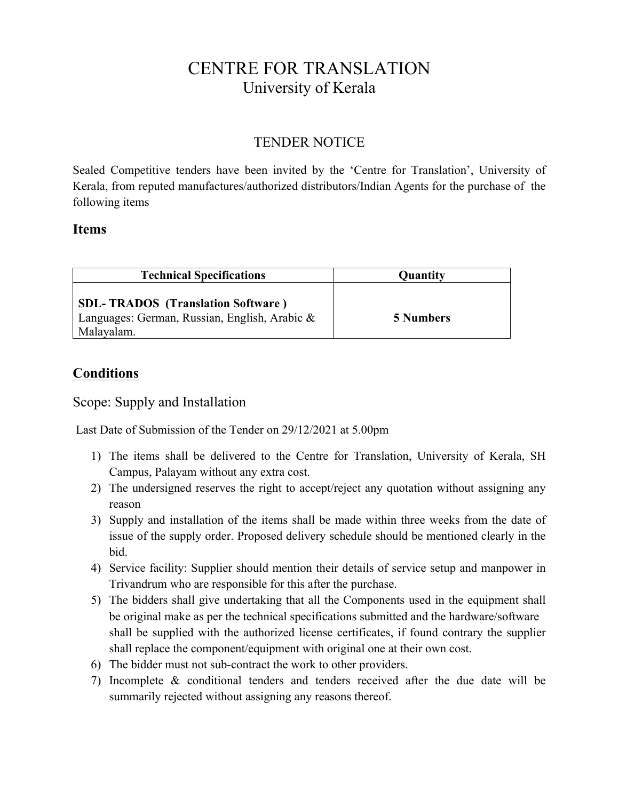# CENTRE FOR TRANSLATION University of Kerala

## TENDER NOTICE

Sealed Competitive tenders have been invited by the 'Centre for Translation', University of Kerala, from reputed manufactures/authorized distributors/Indian Agents for the purchase of the following items

#### **Items**

| <b>Technical Specifications</b>                                                                         | <b>Quantity</b>  |
|---------------------------------------------------------------------------------------------------------|------------------|
| <b>SDL-TRADOS</b> (Translation Software)<br>Languages: German, Russian, English, Arabic &<br>Malayalam. | <b>5 Numbers</b> |

### **Conditions**

#### Scope: Supply and Installation

Last Date of Submission of the Tender on 29/12/2021 at 5.00pm

- 1) The items shall be delivered to the Centre for Translation, University of Kerala, SH Campus, Palayam without any extra cost.
- 2) The undersigned reserves the right to accept/reject any quotation without assigning any reason
- 3) Supply and installation of the items shall be made within three weeks from the date of issue of the supply order. Proposed delivery schedule should be mentioned clearly in the bid.
- 4) Service facility: Supplier should mention their details of service setup and manpower in Trivandrum who are responsible for this after the purchase.
- 5) The bidders shall give undertaking that all the Components used in the equipment shall be original make as per the technical specifications submitted and the hardware/software shall be supplied with the authorized license certificates, if found contrary the supplier shall replace the component/equipment with original one at their own cost.
- 6) The bidder must not sub-contract the work to other providers.
- 7) Incomplete & conditional tenders and tenders received after the due date will be summarily rejected without assigning any reasons thereof.